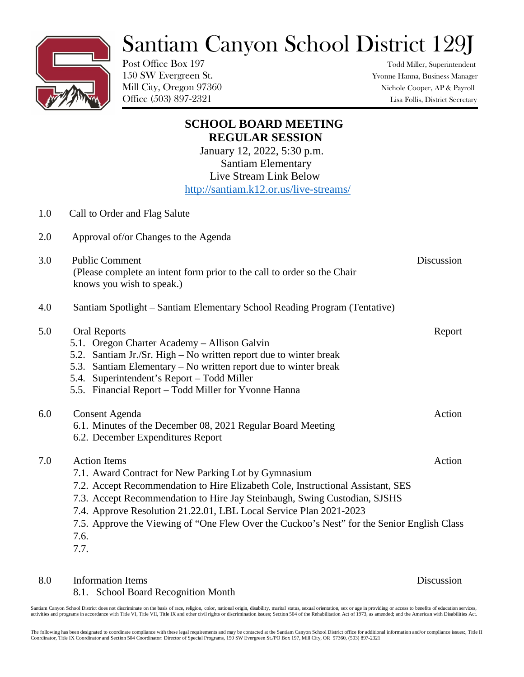## Santiam Canyon School District 129J



Post Office Box 197 Todd Miller, Superintendent

150 SW Evergreen St. Yvonne Hanna, Business Manager Mill City, Oregon 97360 Nichole Cooper, AP & Payroll Office (503) 897-2321 Lisa Follis, District Secretary

|     | <b>SCHOOL BOARD MEETING</b>                                                                          |            |
|-----|------------------------------------------------------------------------------------------------------|------------|
|     | <b>REGULAR SESSION</b>                                                                               |            |
|     | January 12, 2022, 5:30 p.m.                                                                          |            |
|     | <b>Santiam Elementary</b>                                                                            |            |
|     | Live Stream Link Below                                                                               |            |
|     | http://santiam.k12.or.us/live-streams/                                                               |            |
| 1.0 | Call to Order and Flag Salute                                                                        |            |
| 2.0 | Approval of/or Changes to the Agenda                                                                 |            |
| 3.0 | <b>Public Comment</b>                                                                                | Discussion |
|     | (Please complete an intent form prior to the call to order so the Chair<br>knows you wish to speak.) |            |
| 4.0 | Santiam Spotlight - Santiam Elementary School Reading Program (Tentative)                            |            |
| 5.0 | <b>Oral Reports</b>                                                                                  | Report     |
|     | 5.1. Oregon Charter Academy - Allison Galvin                                                         |            |
|     | 5.2. Santiam Jr./Sr. High – No written report due to winter break                                    |            |
|     | 5.3. Santiam Elementary – No written report due to winter break                                      |            |
|     | 5.4. Superintendent's Report - Todd Miller                                                           |            |
|     | 5.5. Financial Report - Todd Miller for Yvonne Hanna                                                 |            |
| 6.0 | Consent Agenda                                                                                       | Action     |
|     | 6.1. Minutes of the December 08, 2021 Regular Board Meeting                                          |            |
|     | 6.2. December Expenditures Report                                                                    |            |
| 7.0 | <b>Action Items</b>                                                                                  | Action     |
|     | 7.1. Award Contract for New Parking Lot by Gymnasium                                                 |            |
|     | 7.2. Accept Recommendation to Hire Elizabeth Cole, Instructional Assistant, SES                      |            |
|     | 7.3. Accept Recommendation to Hire Jay Steinbaugh, Swing Custodian, SJSHS                            |            |
|     | 7.4. Approve Resolution 21.22.01, LBL Local Service Plan 2021-2023                                   |            |
|     | 7.5. Approve the Viewing of "One Flew Over the Cuckoo's Nest" for the Senior English Class           |            |
|     | 7.6.                                                                                                 |            |
|     | 7.7.                                                                                                 |            |

8.0 Information Items Discussion

## 8.1. School Board Recognition Month

Santiam Canyon School District does not discriminate on the basis of race, religion, color, national origin, disability, marital status, sexual orientation, sex or age in providing or access to benefits of education servic